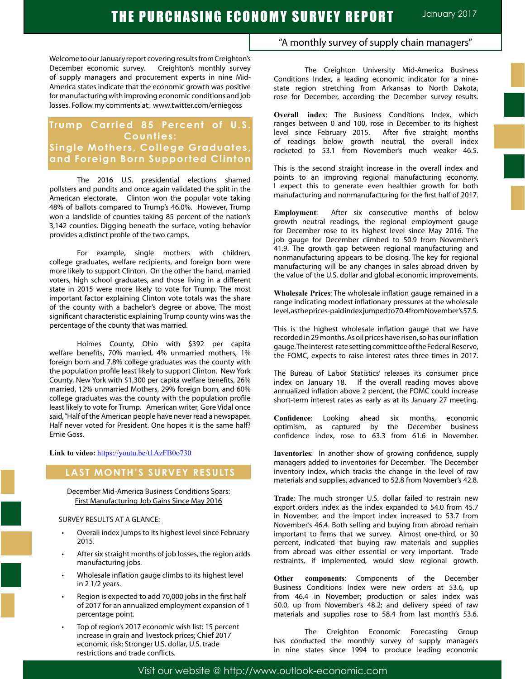Welcome to our January report covering results from Creighton's December economic survey. Creighton's monthly survey of supply managers and procurement experts in nine Mid-America states indicate that the economic growth was positive for manufacturing with improving economic conditions and job losses. Follow my comments at: www.twitter.com/erniegoss

## **Trump Carried 85 Percent of U.S. Counties: Single Mothers, College Graduates, and Foreign Born Supported Clinton**

The 2016 U.S. presidential elections shamed pollsters and pundits and once again validated the split in the American electorate. Clinton won the popular vote taking 48% of ballots compared to Trump's 46.0%. However, Trump won a landslide of counties taking 85 percent of the nation's 3,142 counties. Digging beneath the surface, voting behavior provides a distinct profile of the two camps.

For example, single mothers with children, college graduates, welfare recipients, and foreign born were more likely to support Clinton. On the other the hand, married voters, high school graduates, and those living in a different state in 2015 were more likely to vote for Trump. The most important factor explaining Clinton vote totals was the share of the county with a bachelor's degree or above. The most significant characteristic explaining Trump county wins was the percentage of the county that was married.

Holmes County, Ohio with \$392 per capita welfare benefits, 70% married, 4% unmarried mothers, 1% foreign born and 7.8% college graduates was the county with the population profile least likely to support Clinton. New York County, New York with \$1,300 per capita welfare benefits, 26% married, 12% unmarried Mothers, 29% foreign born, and 60% college graduates was the county with the population profile least likely to vote for Trump. American writer, Gore Vidal once said, "Half of the American people have never read a newspaper. Half never voted for President. One hopes it is the same half? Ernie Goss.

#### **Link to video:** https://youtu.be/t1AzFB0o730

#### **LAST MONTH'S SURVEY RESULTS**

December Mid-America Business Conditions Soars: First Manufacturing Job Gains Since May 2016

#### SURVEY RESULTS AT A GLANCE:

- Overall index jumps to its highest level since February 2015.
- After six straight months of job losses, the region adds manufacturing jobs.
- Wholesale inflation gauge climbs to its highest level in 2 1/2 years.
- Region is expected to add 70,000 jobs in the first half of 2017 for an annualized employment expansion of 1 percentage point.
- Top of region's 2017 economic wish list: 15 percent increase in grain and livestock prices; Chief 2017 economic risk: Stronger U.S. dollar, U.S. trade restrictions and trade conflicts.

#### "A monthly survey of supply chain managers"

The Creighton University Mid-America Business Conditions Index, a leading economic indicator for a ninestate region stretching from Arkansas to North Dakota, rose for December, according the December survey results.

**Overall index**: The Business Conditions Index, which ranges between 0 and 100, rose in December to its highest level since February 2015. After five straight months of readings below growth neutral, the overall index rocketed to 53.1 from November's much weaker 46.5.

This is the second straight increase in the overall index and points to an improving regional manufacturing economy. I expect this to generate even healthier growth for both manufacturing and nonmanufacturing for the first half of 2017.

**Employment**: After six consecutive months of below growth neutral readings, the regional employment gauge for December rose to its highest level since May 2016. The job gauge for December climbed to 50.9 from November's 41.9. The growth gap between regional manufacturing and nonmanufacturing appears to be closing. The key for regional manufacturing will be any changes in sales abroad driven by the value of the U.S. dollar and global economic improvements.

**Wholesale Prices**: The wholesale inflation gauge remained in a range indicating modest inflationary pressures at the wholesale level, as the prices-paid index jumped to 70.4 from November's 57.5.

This is the highest wholesale inflation gauge that we have recorded in 29 months. As oil prices have risen, so has our inflation gauge. The interest-rate setting committee of the Federal Reserve, the FOMC, expects to raise interest rates three times in 2017.

The Bureau of Labor Statistics' releases its consumer price index on January 18. If the overall reading moves above annualized inflation above 2 percent, the FOMC could increase short-term interest rates as early as at its January 27 meeting.

**Confidence**: Looking ahead six months, economic optimism, as captured by the December business confidence index, rose to 63.3 from 61.6 in November.

**Inventories**: In another show of growing confidence, supply managers added to inventories for December. The December inventory index, which tracks the change in the level of raw materials and supplies, advanced to 52.8 from November's 42.8.

**Trade**: The much stronger U.S. dollar failed to restrain new export orders index as the index expanded to 54.0 from 45.7 in November, and the import index increased to 53.7 from November's 46.4. Both selling and buying from abroad remain important to firms that we survey. Almost one-third, or 30 percent, indicated that buying raw materials and supplies from abroad was either essential or very important. Trade restraints, if implemented, would slow regional growth.

**Other components**: Components of the December Business Conditions Index were new orders at 53.6, up from 46.4 in November; production or sales index was 50.0, up from November's 48.2; and delivery speed of raw materials and supplies rose to 58.4 from last month's 53.6.

The Creighton Economic Forecasting Group has conducted the monthly survey of supply managers in nine states since 1994 to produce leading economic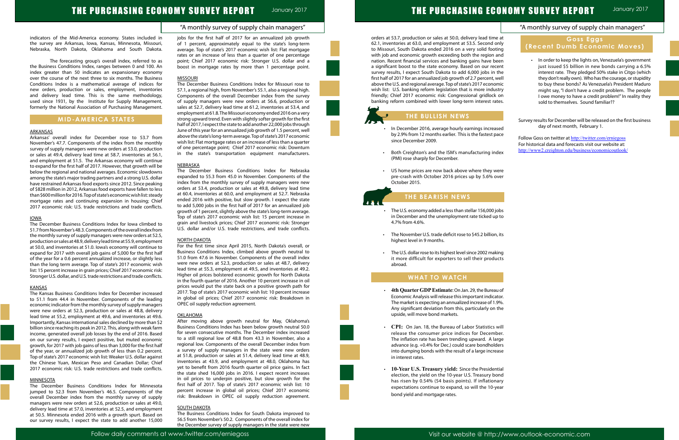| "A monthly survey of supply chain managers"                                                    |
|------------------------------------------------------------------------------------------------|
| Goss Eggs                                                                                      |
| (Recent Dumb Economic Moves)                                                                   |
|                                                                                                |
|                                                                                                |
| In order to keep the lights on, Venezuela's government<br>۰                                    |
| just issued \$5 billion in new bonds carrying a 6.5%                                           |
| interest rate. They pledged 50% stake in Citgo (which                                          |
| they don't really own). Who has the courage, or stupidity                                      |
| to buy these bonds? As Venezuela's President Maduro                                            |
| might say, "I don't have a credit problem. The people                                          |
| I owe money to have a credit problem!" In reality they<br>sold to themselves. Sound familiar?? |
|                                                                                                |
|                                                                                                |
| Survey results for December will be released on the first business                             |
| day of next month, February 1.                                                                 |
|                                                                                                |
| Follow Goss on twitter at http://twitter.com/erniegoss                                         |
| For historical data and forecasts visit our website at:                                        |
| http://www2.creighton.edu/business/economicoutlook/                                            |
|                                                                                                |
|                                                                                                |
|                                                                                                |
|                                                                                                |
|                                                                                                |
|                                                                                                |
|                                                                                                |
|                                                                                                |
|                                                                                                |
|                                                                                                |
|                                                                                                |
|                                                                                                |
|                                                                                                |
|                                                                                                |
|                                                                                                |
|                                                                                                |
|                                                                                                |
|                                                                                                |
|                                                                                                |
|                                                                                                |
|                                                                                                |
|                                                                                                |
|                                                                                                |
|                                                                                                |
|                                                                                                |
|                                                                                                |
|                                                                                                |
|                                                                                                |
|                                                                                                |
|                                                                                                |
|                                                                                                |
|                                                                                                |
|                                                                                                |
|                                                                                                |

#### "A monthly survey of supply chain managers"

# THE PURCHASING ECONOMY SURVEY REPORT January 2017

indicators of the Mid-America economy. States included in the survey are Arkansas, Iowa, Kansas, Minnesota, Missouri, Nebraska, North Dakota, Oklahoma and South Dakota.

The forecasting group's overall index, referred to as the Business Conditions Index, ranges between 0 and 100. An index greater than 50 indicates an expansionary economy over the course of the next three to six months. The Business Conditions Index is a mathematical average of indices for new orders, production or sales, employment, inventories and delivery lead time. This is the same methodology, used since 1931, by the Institute for Supply Management, formerly the National Association of Purchasing Management.

The December Business Conditions Index for Iowa climbed to 51.7 from November's 48.3. Components of the overall index from the monthly survey of supply managers were new orders at 52.5, production or sales at 48.9, delivery lead time at 55.9, employment at 50.0, and inventories at 51.0. Iowa's economy will continue to expand for 2017 with overall job gains of 5,000 for the first half of the year for a 0.6 percent annualized increase, or slightly less than the long term average. Top of state's 2017 economic wish list: 15 percent increase in grain prices; Chief 2017 economic risk: Stronger U.S. dollar, and U.S. trade restrictions and trade conflicts.

#### **KANSAS**

### **MID-AMERICA STATES**

#### ARKANSAS

Arkansas' overall index for December rose to 53.7 from November's 47.7. Components of the index from the monthly survey of supply managers were new orders at 53.0, production or sales at 49.4, delivery lead time at 58.7, inventories at 56.1, and employment at 51.5. The Arkansas economy will continue to expand for the first half of 2017. However, that growth will be below the regional and national averages. Economic slowdowns among the state's major trading partners and a strong U.S. dollar have restrained Arkansas food exports since 2012. Since peaking of \$828 million in 2012, Arkansas food exports have fallen to less than \$600 million for 2016. Top of state's economic wish list: steady mortgage rates and continuing expansion in housing; Chief 2017 economic risk: U.S. trade restrictions and trade conflicts.

#### IOWA

The Kansas Business Conditions Index for December increased to 51.1 from 44.4 in November. Components of the leading economic indicator from the monthly survey of supply managers were new orders at 52.3, production or sales at 48.8, delivery lead time at 55.2, employment at 49.6, and inventories at 49.6. Importantly, Kansas international sales declined by more than \$2 billion since reaching its peak in 2012. This, along with weak farm income, generated overall job losses by the end of 2016. Based on our survey results, I expect positive, but muted economic growth, for 2017 with job gains of less than 3,000 for the first half of the year, or annualized job growth of less than 0.2 percent. Top of state's 2017 economic wish list: Weaker U.S. dollar against the Chinese Yuan, Mexican Peso and Canadian Dollar; Chief 2017 economic risk: U.S. trade restrictions and trade conflicts.

#### MINNESOTA

The December Business Conditions Index for Minnesota jumped to 52.3 from November's 46.5. Components of the overall December index from the monthly survey of supply managers were new orders at 52.6, production or sales at 49.0, delivery lead time at 57.0, inventories at 52.5, and employment at 50.5. Minnesota ended 2016 with a growth spurt. Based on our survey results, I expect the state to add another 15,000 jobs for the first half of 2017 for an annualized job growth of 1 percent, approximately equal to the state's long-term average. Top of state's 2017 economic wish list: Flat mortgage rates or an increase of less than a quarter of one percentage point; Chief 2017 economic risk: Stronger U.S. dollar and a boost in mortgage rates by more than 1 percentage point.

#### MISSOURI

- In December 2016, average hourly earnings increase by 2.9% from 12 months earlier. This is the fastest pac since December 2009.
- Both Creighton's and the ISM's manufacturing ind (PMI) rose sharply for December.
- US home prices are now back above where they we pre-crash with October 2016 prices up by 5.6% ov October 2015.

- The U.S. economy added a less than stellar 156,000 jo in December and the unemployment rate ticked up 4.7% from 4.6%.
- The November U.S. trade deficit rose to \$45.2 billion, highest level in 9 months.
- The U.S. dollar rose to its highest level since 2002 making it more difficult for exporters to sell their produc abroad.

The December Business Conditions Index for Missouri rose to 57.1, a regional high, from November's 55.1, also a regional high. Components of the overall December index from the survey of supply managers were new orders at 56.6, production or sales at 52.7, delivery lead time at 61.2, inventories at 53.4, and employment at 61.8. The Missouri economy ended 2016 on a very strong upward trend. Even with slightly softer growth for the first half of 2017, I expect the state to add another 22,000 jobs through June of this year for an annualized job growth of 1.5 percent, well above the state's long-term average. Top of state's 2017 economic wish list: Flat mortgage rates or an increase of less than a quarter of one percentage point; Chief 2017 economic risk: Downturn in the state's transportation equipment manufacturers.

#### **NEBRASKA**

- 4th Quarter GDP Estimate: On Jan. 29, the Bureau Economic Analysis will release this important indicate The market is expecting an annualized increase of 1.9% Any significant deviation from this, particularly on th upside, will move bond markets.
- • **CPI:** On Jan. 18, the Bureau of Labor Statistics will release the consumer price indices for Decembe The inflation rate has been trending upward. A large advance (e.g. +0.4% for Dec.) could scare bondholde into dumping bonds with the result of a large increas in interest rates.
- **10-Year U.S. Treasury yield:** Since the Presidenti election, the yield on the 10-year U.S. Treasury bond has risen by 0.54% (54 basis points). If inflationa expectations continue to expand, so will the 10-ye bond yield and mortgage rates.

The December Business Conditions Index for Nebraska expanded to 55.3 from 45.0 in November. Components of the index from the monthly survey of supply managers were new orders at 53.4, production or sales at 49.8, delivery lead time at 60.4, inventories at 60.0, and employment at 52.7. Nebraska ended 2016 with positive, but slow growth. I expect the state to add 5,000 jobs in the first half of 2017 for an annualized job growth of 1 percent, slightly above the state's long-term average. Top of state's 2017 economic wish list: 15 percent increase in grain and livestock prices; Chief 2017 economic risk: Stronger U.S. dollar and/or U.S. trade restrictions, and trade conflicts.

#### NORTH DAKOTA

For the first time since April 2015, North Dakota's overall, or Business Conditions Index, climbed above growth neutral to 51.0 from 47.6 in November. Components of the overall index were new orders at 52.3, production or sales at 48.7, delivery lead time at 55.3, employment at 49.5, and inventories at 49.2. Higher oil prices bolstered economic growth for North Dakota in the fourth quarter of 2016. Another 10 percent increase in oil prices would put the state back on a positive growth path for 2017. Top of state's 2017 economic wish list: 10 percent increase in global oil prices; Chief 2017 economic risk: Breakdown in OPEC oil supply reduction agreement.

#### OKLAHOMA

After moving above growth neutral for May, Oklahoma's Business Conditions Index has been below growth neutral 50.0 for seven consecutive months. The December index increased to a still regional low of 48.8 from 43.3 in November, also a regional low. Components of the overall December index from a survey of supply managers in the state were new orders at 51.8, production or sales at 51.4, delivery lead time at 48.9, inventories at 43.9, and employment at 48.0, Oklahoma has yet to benefit from 2016 fourth quarter oil price gains. In fact the state shed 16,000 jobs in 2016. I expect recent increases in oil prices to underpin positive, but slow growth for the first half of 2017. Top of state's 2017 economic wish list: 10 percent increase in global oil prices; Chief 2017 economic risk: Breakdown in OPEC oil supply reduction agreement.

#### SOUTH DAKOTA

The Business Conditions Index for South Dakota improved to 56.5 from November's 50.2. Components of the overall index for the December survey of supply managers in the state were new

orders at 53.7, production or sales at 50.0, delivery lead time 62.1, inventories at 63.0, and employment at 53.5. Second on to Missouri, South Dakota ended 2016 on a very solid footing with job and economic growth exceeding both the region ar nation. Recent financial services and banking gains have bee a significant boost to the state economy. Based on our recent survey results, I expect South Dakota to add 6,000 jobs in th first half of 2017 for an annualized job growth of 2.7 percent, we above the U.S. and regional average. Top of state's 2017 econom wish list: U.S. banking reform legislation that is more industi friendly; Chief 2017 economic risk: Congressional gridlock on banking reform combined with lower long-term interest rate

# **THE BULLISH NEWS**

# **THE BEARISH NEWS**

## **WHAT TO WATCH**

l

Ĩ